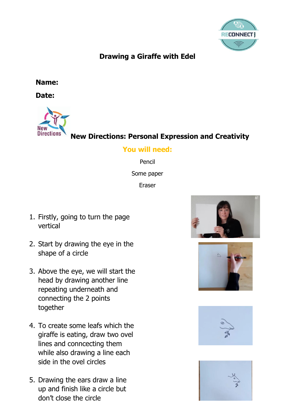

## **Drawing a Giraffe with Edel**

**Name:** 

**Date:** 



**New Directions: Personal Expression and Creativity**

## **You will need:**

Pencil Some paper Eraser

- 1. Firstly, going to turn the page vertical
- 2. Start by drawing the eye in the shape of a circle
- 3. Above the eye, we will start the head by drawing another line repeating underneath and connecting the 2 points together
- 4. To create some leafs which the giraffe is eating, draw two ovel lines and conncecting them while also drawing a line each side in the ovel circles
- 5. Drawing the ears draw a line up and finish like a circle but don't close the circle







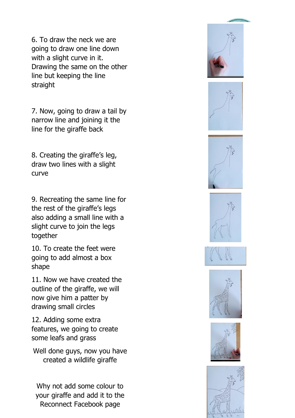6. To draw the neck we are going to draw one line down with a slight curve in it. Drawing the same on the other line but keeping the line straight

7. Now, going to draw a tail by narrow line and joining it the line for the giraffe back

8. Creating the giraffe's leg, draw two lines with a slight curve

9. Recreating the same line for the rest of the giraffe's legs also adding a small line with a slight curve to join the legs together

10. To create the feet were going to add almost a box shape

11. Now we have created the outline of the giraffe, we will now give him a patter by drawing small circles

12. Adding some extra features, we going to create some leafs and grass

Well done guys, now you have created a wildlife giraffe

Why not add some colour to your giraffe and add it to the Reconnect Facebook page